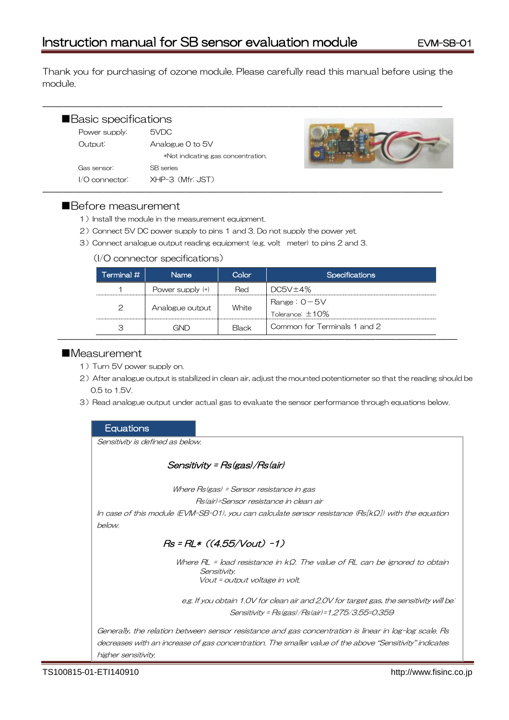Thank you for purchasing of ozone module. Please carefully read this manual before using the module.

| Basic specifications |                                    |  |
|----------------------|------------------------------------|--|
| Power supply:        | 5VDC                               |  |
| Output:              | Analogue 0 to 5V                   |  |
|                      | *Not indicating gas concentration. |  |
| Gas sensor:          | <b>SB</b> series                   |  |
| I/O connector:       | XHP-3 (Mfr: JST)                   |  |

―――――――――――――――――――――――――――――――――――――――

## ■Before measurement

- 1) Install the module in the measurement equipment.
- 2) Connect 5V DC power supply to pins 1 and 3. Do not supply the power yet.
- 3)Connect analogue output reading equipment (e.g. volt meter) to pins 2 and 3.

## (I/O connector specifications)

| $\sf{Terminal}\,{\it \#}$ $\sf{I}$ | <b>Name</b>      | Color        | <b>Specifications</b>                      |
|------------------------------------|------------------|--------------|--------------------------------------------|
|                                    | Power supply (+) | Red          | DC5V±4%                                    |
| $\mathcal{P}$                      | Analogue output  | White        | Range: $0 - 5V$<br>$T$ olerance: $\pm$ 10% |
| З                                  | GND              | <b>Black</b> | Common for Terminals 1 and 2               |

## ■Measurement

- 1) Turn 5V power supply on.
- 2) After analogue output is stabilized in clean air, adjust the mounted potentiometer so that the reading should be 0.5 to 1.5V.
- 3) Read analogue output under actual gas to evaluate the sensor performance through equations below.

## **Equations**

Sensitivity is defined as below.

# Sensitivity = Rs(gas)/Rs(air)

Where Rs(gas) = Sensor resistance in gas

Rs(air)=Sensor resistance in clean air

In case of this module (EVM-SB-01), you can calculate sensor resistance (Rs[kΩ]) with the equation below.

# $Rs = RL * ((4.55/Vout) - 1)$

Where RL = load resistance in kΩ. The value of RL can be ignored to obtain Sensitivity. Vout = output voltage in volt.

e.g. If you obtain 1.0V for clean air and 2.0V for target gas, the sensitivity will being Sensitivity = Rs(gas)/Rs(air)=1.275/3.55=0.359

Generally, the relation between sensor resistance and gas concentration is linear in log-log scale. Rs decreases with an increase of gas concentration. The smaller value of the above "Sensitivity" indicates higher sensitivity.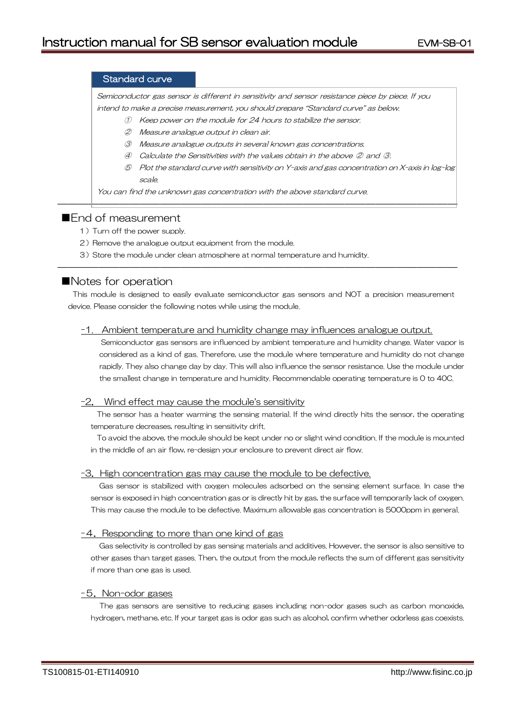### Standard curve

Semiconductor gas sensor is different in sensitivity and sensor resistance piece by piece. If you intend to make a precise measurement, you should prepare "Standard curve" as below.

- ① Keep power on the module for 24 hours to stabilize the sensor.
- ② Measure analogue output in clean air.
- ③ Measure analogue outputs in several known gas concentrations.
- ④ Calculate the Sensitivities with the values obtain in the above ② and ③.

―――――――――――――――――――――――――――――――――――――――

⑤ Plot the standard curve with sensitivity on Y-axis and gas concentration on X-axis in log-log scale.

You can find the unknown gas concentration with the above standard curve.

## ■End of measurement

- 1) Turn off the power supply.
- 2) Remove the analogue output equipment from the module.
- 3) Store the module under clean atmosphere at normal temperature and humidity.

## ■Notes for operation

This module is designed to easily evaluate semiconductor gas sensors and NOT a precision measurement device. Please consider the following notes while using the module.

―――――――――――――――――――――――――――――――――――――――

#### -1. Ambient temperature and humidity change may influences analogue output.

Semiconductor gas sensors are influenced by ambient temperature and humidity change. Water vapor is considered as a kind of gas. Therefore, use the module where temperature and humidity do not change rapidly. They also change day by day. This will also influence the sensor resistance. Use the module under the smallest change in temperature and humidity. Recommendable operating temperature is 0 to 40C.

#### -2. Wind effect may cause the module's sensitivity

The sensor has a heater warming the sensing material. If the wind directly hits the sensor, the operating temperature decreases, resulting in sensitivity drift.

To avoid the above, the module should be kept under no or slight wind condition. If the module is mounted in the middle of an air flow, re-design your enclosure to prevent direct air flow.

#### -3.High concentration gas may cause the module to be defective.

Gas sensor is stabilized with oxygen molecules adsorbed on the sensing element surface. In case the sensor is exposed in high concentration gas or is directly hit by gas, the surface will temporarily lack of oxygen. This may cause the module to be defective. Maximum allowable gas concentration is 5000ppm in general.

#### -4. Responding to more than one kind of gas

Gas selectivity is controlled by gas sensing materials and additives. However, the sensor is also sensitive to other gases than target gases. Then, the output from the module reflects the sum of different gas sensitivity if more than one gas is used.

#### -5.Non-odor gases

The gas sensors are sensitive to reducing gases including non-odor gases such as carbon monoxide, hydrogen, methane, etc. If your target gas is odor gas such as alcohol, confirm whether odorless gas coexists.